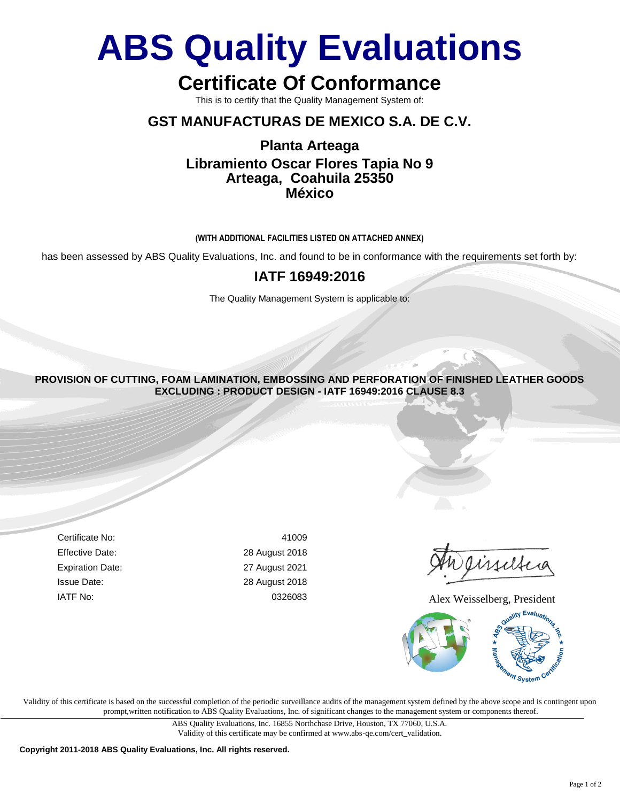# **ABS Quality Evaluations**

# **Certificate Of Conformance**

This is to certify that the Quality Management System of:

### **GST MANUFACTURAS DE MEXICO S.A. DE C.V.**

## **Planta Arteaga Libramiento Oscar Flores Tapia No 9 Arteaga, Coahuila 25350 México**

#### **(WITH ADDITIONAL FACILITIES LISTED ON ATTACHED ANNEX)**

has been assessed by ABS Quality Evaluations, Inc. and found to be in conformance with the requirements set forth by:

### **IATF 16949:2016**

The Quality Management System is applicable to:

**PROVISION OF CUTTING, FOAM LAMINATION, EMBOSSING AND PERFORATION OF FINISHED LEATHER GOODS EXCLUDING : PRODUCT DESIGN - IATF 16949:2016 CLAUSE 8.3**

iseltia

IATF No: 0326083 Alex Weisselberg, President



Certificate No: 41009 Effective Date: 28 August 2018 Expiration Date: 27 August 2021 Issue Date: 28 August 2018

Validity of this certificate is based on the successful completion of the periodic surveillance audits of the management system defined by the above scope and is contingent upon prompt,written notification to ABS Quality Evaluations, Inc. of significant changes to the management system or components thereof.

> ABS Quality Evaluations, Inc. 16855 Northchase Drive, Houston, TX 77060, U.S.A. [Validity of this certificate may be confirmed at www.abs-qe.com/cert\\_validation.](http://www.abs-qe.com/cert_validation)

**Copyright 2011-2018 ABS Quality Evaluations, Inc. All rights reserved.**